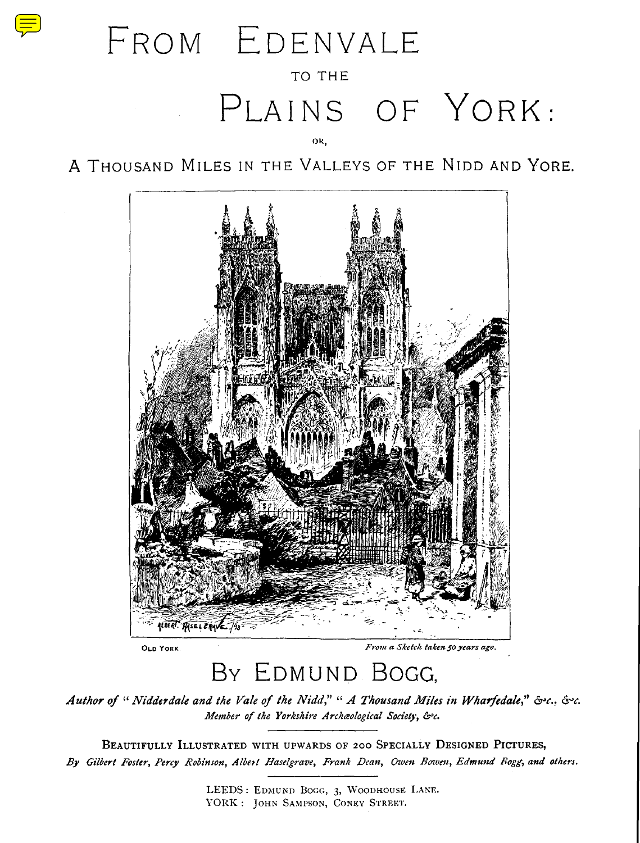# FROM EDENVALE TO THE PLAINS OF YORK:

OR ,

A THOUSAND MILES IN THE VALLEYS OF THE NIDD AND YORE .



# BY EDMUND BOGG,

*Author of " Nidderdale and the Vale of the Nidd," " A Thousand Niles in Wharfedale," &'c. Member of the Yorkshire Archaeological Society, & c.*

**BEAUTIFULLY ILLUSTRATED WITH UPWARDS OF 200 SPECIALLY DESIGNED PICTURES,** *By Gilbert Foster, Percy Robinson, Albert Haselgrave, Frank Dean, Owen Bowen, Edmund Fogg, and others.*

> LEEDS : EDMUND BOGG, 3, WOODHOUSE LANE. YORK : JOHN SAMPSON, CONEY STREET.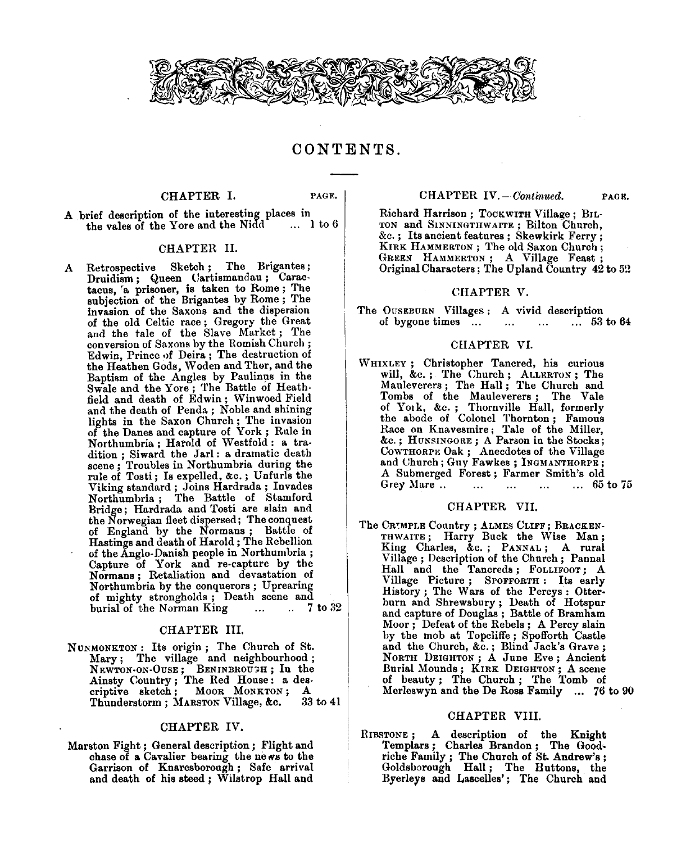

CONTENTS .

# **CHAPTER** I. **PAGE.**

A brief description of the interesting places in the vales of the Yore and the Nidd

# CHAPTER II.

A Retrospective Sketch ; The Brigantes; Druidism; Queen Cartismandau; Caractacus, 'a prisoner, is taken to Rome ; The subjection of the Brigantes by Rome ; The invasion of the Saxons and the dispersion of the old Celtic race ; Gregory the Great and the tale of the Slave Market ; The conversion of Saxons by the Romish Church; Edwin, Prince of Deira ; The destruction of the Heathen Gods, Woden and Thor, and the Baptism of the Angles by Paulinus in the Swale and the Yore ; The Battle of Heathfield and death of Edwin ; Winwoed Field and the death of Penda ; Noble and shining lights in the Saxon Church ; The invasion of the Danes and capture of York ; Rule in Northumbria ; Harold of Westfold : a tradition ; Siward the Jarl : a dramatic death scene ; Troubles in Northumbria during the rule of Tosti ; Is expelled, &c . ; Unfurls the Viking standard ; Joins Hardrada ; Invades Northumbria ; The Battle of Stamford Bridge ; Hardrada and Tosti are slain and the Norwegian fleet dispersed; The conquest of England by the Normans ; Battle of Hastings and death of Harold ; The Rebellion of the Anglo-Danish people in Northumbria; Capture of York and re-capture by the Normans ; Retaliation and devastation of Northumbria by the conquerors ; Uprearing of mighty strongholds ; Death scene and burial of the Norman King

# CHAPTER III.

NUNMONKTON : Its origin ; The Church of St. Mary; The village and neighbourhood;<br>NEWTON-ON-OUSE; BENINBROUGH; In the Ainsty **Country ;** The Red **House :** a **des-**criptive sketch ; Moor MONKTON ;A Thunderstorm ; MArSTON Village, &c. 33 to 41

# **CHAPTER IV.**

**Marston** Fight ; General **description ;** Flight **an d** chase of a Cavalier bearing the news to the Garrison of **Knaresborough ;** Safe **arrival** and death of his steed ; Wilstrop Hall and

# **CHAPTER** *IV.— Continued.* **PAGE.**

 $Richard Harrison; TockWITHVillage; BIL-$ **TON and SINNINGTHWAITE ; Bilton Church,** &c . ; Its ancient features ; Skewkirk Ferry; KIRK HAMMERTON ; The old Saxon Church; GREEN HAMMERTON; A Village Feast; Original Characters ; The Upland Country 42 to 52

# CHAPTER V.

The OUSEBURN Villages : A vivid description<br>of bygone times ... ... ... ... 53 to 64 of bygone times ... ... ...

# CHAPTER VI.

WHIXLEY ; Christopher Tancred, his curious will, &c. ; The Church ; ALLERTON ; The Mauleverers ; The Hall ; The Church and Tombs of the Mauleverers ; The Vale of Yolk, &c . ; Thornville Hall, formerly the abode of Colonel Thornton ; Famous Race on Knavesmire ; Tale of the Miller, &c. ; HUNSINGORE ; A Parson in the Stocks; COWTHORPE Oak ; Anecdotes of the Village and Church ; Guy Fawkes ; INGMANTHORPE; A Submerged Forest ; Farmer Smith's old Grey Mare ... ... ... ...

#### CHAPTER VII.

The CRIMPLE Country; ALMES CLIFF; BRACKEN-THWAITE; Harry Buck the Wise Man; King Charles, &c. ; PANNAL ; A rural Village ; Description of the Church ; Pannal Hall and the Tancreds; FOLLIFOOT; A Village Picture; SPOFFORTH: Its early History ; The Wars of the Percys : Otterburn and Shrewsbury ; Death of Hotspur and capture of Douglas ; Battle of Bramham Moor ; Defeat of the Rebels ; A Percy slain by the mob at Topcliffe ; Spofforth Castle and the Church, &c.; Blind Jack's Grave; NORTH DEIGHTON; A June Eve; Ancient<br>Burial Mounds; KIRK DEIGHTON; A scene<br>of beauty; The Church; The Tomb of<br>Merleswyn and the De Ross Family ... 76 to 90

# **CHAPTER** VIII.

RIBSTONE ; A description of the Knight Templars ; Charles **Brandon ; Th** riche Family ; The Church of St. Andrew's ;<br>
Goldsborough **Hall** ; The Huttons, the<br>
Byerleys and Lascelles' ; The Church and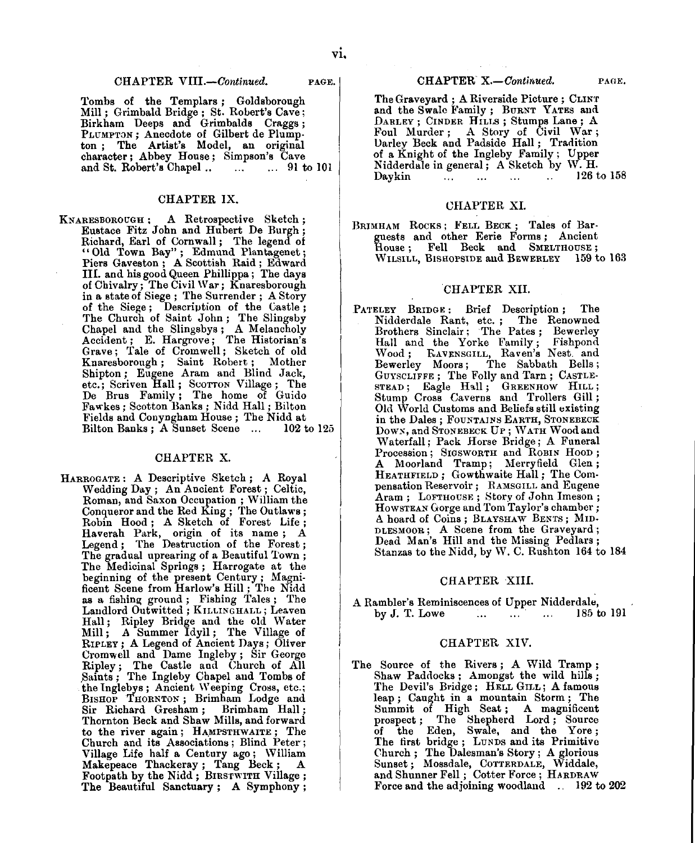#### **CHAPTER VIII.—Continued. PAGE.**

Tombs of the Templars ; **Goldsborough** Mill ; Grimbald Bridge ; St. Robert's Cave; Birkham Deeps and Grimbalds Craggs; PLUMPTON ; Anecdote of Gilbert de Plumpton ; The Artist's Model, an original character ; Abbey House ; Simpson's Cave and St. Robert's Chapel ...

# CHAPTER IX,

**KNARESBOROUGH ;** A Retrospective Sketch ; Eustace Fitz John and Hubert De Burgh; Richard, Earl of Cornwall; The legend of<br>
"Old Town Bay"; Edmund Plantagenet;<br>
Piers Gaveston; A Scottish Raid; Edward<br>
III. and his good Queen Phillippa; The days of Chivalry ; The Civil War ; Knaresborough in a state of Siege ; The Surrender ; A Story of the Siege; Description of the Castle: The Church of Saint John ; The Slingsby Chapel and the Slingsbys ; A Melancholy Accident ; E. Hargrove ; The Historian's Grave ; Tale of Cromwell ; Sketch of old Knaresborough ; Saint Robert ; Mother Shipton ; Eugene Aram and Blind Jack, etc.; Scriven Hall ; SCOTTON Village ; The be Brus Family ; The home of Guido Fawkes ; Scotton Banks ; Nidd Hall ; Bilton Fields and Conyngham House ; The Nidd at Bilton Banks; A Sunset Scene ...

#### CHAPTER X.

**HARROGATE :** A Descriptive Sketch ; A Royal Wedding Day ; An Ancient Forest ; Celtic, Roman, and Saxon Occupation ; William the Conqueror and the Red King; The Outlaws<br>Robin Hood ; A Sketch of Forest Life Haverah Park, origin of its name; Legend; The Destruction of the Forest The gradual uprearing of a Beautiful Town; The Medicinal Springs ; Harrogate at the beginning of the present Century ; Magnificent Scene from Harlow's Hill ; The Nidd as a fishing ground ; Fishing Tales ; The Landlord Outwitted ; KILLINGHALL ; Leaven Hall ; Ripley Bridge and the old Water Mill ; A Summer Idyll ; The Village of RIPLEY ; A Legend of Ancient Days ; Oliver Cromwell and Dame Ingleby ; Sir George Ripley ; The Castle and Church of All Saints ; The Ingleby Chapel and Tombs of the Inglebys ; Ancient Weeping Cross, etc.; BISHOP THORNTON; Brimham Lodge and<br>Sir Richard Gresham; Brimham Hall; Sir Richard Gresham; Thornton Beck and Shaw Mills, and forward to the river again ; **HAMPSTHWAITE ;** The Church and its Associations ; Blind Peter; Village Life half a Century ago ; William Makepeace Thackeray ; Tang Beck ;A **Footpath** by the Nidd ; BIRSTwITH Village; The Beautiful **Sanctuary ; A Symphony;**

The **Graveyard ;** A Riverside Picture ; CLINT and the Swale Family ; BURNT **YATES** and DARLEY ; CINDER HILLS ; Stumps Lane ; A Foul Murder; A Story of Civil War; Darley Beck and Padside Hall ; Tradition of a Knight of the Ingleby Family ; Upper Nidderdale in general; A Sketch by W.H.<br>Daykin ... ... ... ... ... 126 t  $\ldots$   $\ldots$   $\ldots$  126 to 158

# CHAPTER XI.

BRIMHAM ROCKS ; FELL BECK ; Tales of Barguests and other Eerie Forms; Ancient<br>House; Fell Beck and SMELTHOUSE;<br>WILSILL, BISHOPSIDE and BEWERLEY 159 to 163

#### CHAPTER XII.

PATELEY BRIDGE: Brief Description; The Nidderdale Rant, etc.; The Renowned<br>Brothers Sinclair; The Pates; Bewerley<br>Hall and the Yorke Family; Fishpond<br>Wood; FAVENSGILL, Raven's Nest and<br>Bewerley Moors; The Sabbath Bells;<br>GuyscLIFFE; The Folly and Tarn; CASTLE-<br>S Old World Customs and Beliefs still existing in the Dales; FOUNTAINS EARTH, STONEBECK *DOWN,* and STONEBECK UP ; WATH Wood and Waterfall ; Pack Horse Bridge ; A Funeral Procession; SIGSWORTH and ROBIN HOOD;<br>A Moorland Tramp; Merryfield Glen; Moorland Tramp; Merryfield Glen; HEATHFIELD ; Gowthwaite Hall ; The Compensation Reservoir ; RAMSGILL and Eugene Aram ; LOFTHOUSE; Story of John Imeson; HOWSTEAN Gorge and Tom Taylor's chamber; A hoard of Coins ; BLAYSHAW BENTS ; MID-DLESMOOR ; A Scene from the Graveyard; Dead Man's Hill and the Missing Pedlars; Stanzas to the Nidd, by W. C. Rushton 164 to 184

# CHAPTER XIII.

A Rambler's Reminiscences of Upper Nidderdale,<br>by J. T. Lowe ... ... ... 185 to 191 by J. T. Lowe . . . . . . ' . . . 185 to 191

### CHAPTER XIV.

The Source of the Rivers; A Wild Tramp; Shaw Paddocks; Amongst the wild hills; The Devil's Bridge ; HELL GILL ; A famous leap; Caught in a mountain Storm; The<br>Summit of High Seat; A magnificent<br>prospect; The Shepherd Lord; Source<br>of the Eden, Swale, and the Yore;<br>The first bridge; Lunns and its Primitive<br>Church; The Dalesman's Story; A glori Force and the adjoining woodland . 192 to 202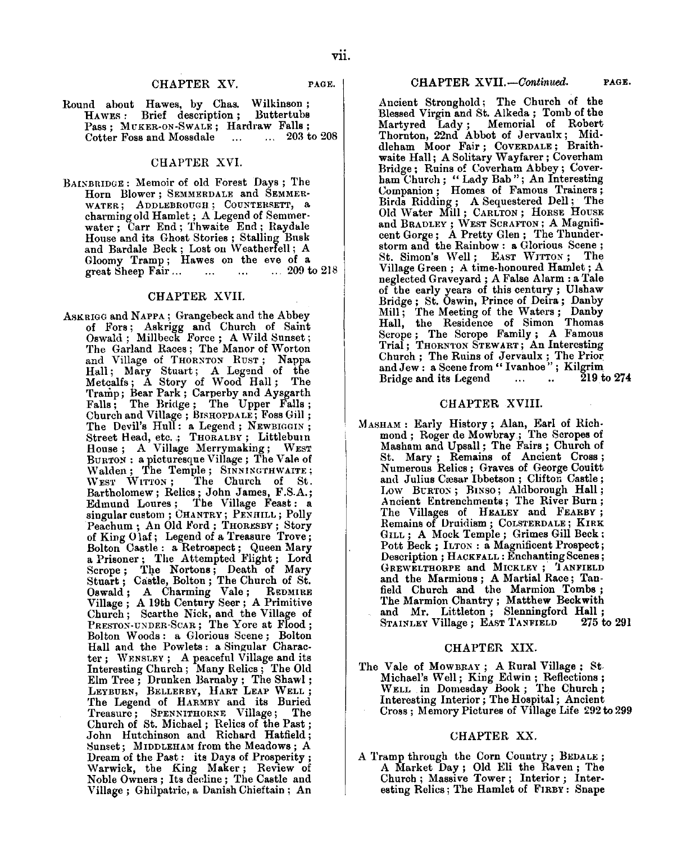# CHAPTER XV. PAGE.

**Round about Hawes, by Chas. Wilkinson; Brief** description: Pass ; MUKER-ON-SWALE ; Hardraw Falls; Cotter Foss and Mossdale

# CHAPTER XVI.

BAINBRIDGE : Memoir of old Forest *Days ;* The Horn Blower ; SEMMERDALE and SEMMER-WATER; ADDLEBROUGH; COUNTERSETT, a charming old Hamlet ; A Legend of Semmerwater ; Carr End ; Thwaite End ; Raydale House and its Ghost Stories ; Stalling Busk and Bardale Beck; Lost on Weatherfell; A Gloomy Tramp; Hawes on the eve of a<br>great Sheep Fair... ... ... ... 209 to 218 great Sheep Fair...

# CHAPTER XVII.

ASK RIGG and NAPPA ; Grangebeck and the Abbey of Fors ; Askrigg and Church of Saint Oswald ; Millbeck Force ; A Wild Sunset; The Garland Races ; The Manor of Worton and Village of THORNTON RUST; Nappa<br>Hall; Mary Stuart; A Legend of the<br>Metcalfs; A Story of Wood Hall; The<br>Tramp; Bear Park; Carperby and Aysgarth<br>Falls; The Bridge; The Upper Falls;<br>Church and Village; BISHOPDALE; Foss Gi The Devil's Hull: a Legend; NEWBIGGIN; Street Head, etc. .; THORALBY ; Littleburn House; A Village Merrymaking; WEST BURTON : a picturesque Village ; The Vale of Walden; The Temple; SINNINGTHWAITE;<br>WEST WITTON; The Church of St. The Church of St. Bartholomew ; Relics ; John James, F.S.A.<br>Edmund Loures ; The Village Feast : singular custom ; CHANTRY; PENHILL; Polly Peachum ; An Old Ford ; **THORESBY ;** Story of King Olaf ; Legend of a Treasure Trove; Bolton Castle : a Retrospect ; Queen Mary a Prisoner ; The Attempted Flight ; Lord Scrope ; The Nortons ; Death of Mary Stuart ; Castle, Bolton ; The Church of St. Oswald ; A Charming Vale ; REDMIRE Village ; A 19th Century Seer ; A Primitive Church ; Scarthe Nick, and the Village of PRESTON-UNDER-SCAR ; The Yore at Flood; Bolton Woods : a Glorious Scene ; Bolton Hall and the Powlets : a Singular Character ; WENSLEY ; A peaceful Village and its<br>Interesting Church ; Many Relics ; The Old<br>Elm Tree ; Drunken Barnaby ; The Shawl<br>LEYBURN, BELLERBY, HART LEAP WELL ; The Legend of HARMBY and its Buried The Legend of HARNET GUIRT TREASURE ; The Church of St. Michael ; Relics of the Past;<br>Church of St. Michael ; Relics of the Past;<br>John Hutchinson and Richard Hatfield; Sunset; MIDDLEHAM from the Meadows; A Dream of the Past: its Days of Prosperity; Warwick, the King Maker ; Review of Noble Owners ; Its decline ; The Castle and Village ; Ghilpatric, a Danish Chieftain ; An

Ancient Stronghold ; The Church of the Blessed Virgin and St. Alkeda ; Tomb of the Martyred Lady ; Memorial of Robert Thornton, 22nd Abbot of Jervaulx ; Middleham Moor Fair; COVERDALE; Braith-<br>waite Hall; A Solitary Wayfarer; Coverham Bridge ; Ruins of Coverham Abbey ; Coverham Church; "Lady Bab"; An Interesting<br>Companion; Homes of Famous Trainers; Birds Ridding ; A Sequestered Dell ; The Old Water Mill; CARLTON; HORSE HOUSE and BRADLEY ; WEST SCRAFTON ; A Magnificent Gorge; A Pretty Glen; The Thunderstorm and the Rainbow : a Glorious Scene; St. Simon 's Well ; EAST WITTON ; The Village Green ; A time-honoured Hamlet ; A neglected Graveyard ; A False Alarm : a Tale of the early years of this century ; Ulshaw Bridge ; St. Oswin, Prince of Deira ; Danby Mill ; The Meeting of the Waters ; Danby Hall, the Residence of Simon Thomas Scrope ; The Scrope Family ; A Famous Trial ; THORNTON STEWART ; An Interesting Church ; The Ruins of JervaulX ; The Prior and Jew : **a** Scene from " **Ivanhoe " ;** Kilgrim Bridge and its Legend  $\ldots$   $\ldots$   $\ldots$  219 to 274

# CHAPTER XVIII.

MASHAM : Early History ; Alan, Earl of Richmond ; Roger de Mowbray ; The Scropes of Masham and Upsall ; The Fairs ; Church of St. Mary; Remains of Ancient Cross<br>Numerous Relics; Graves of George Couit and Julius Cæsar Ibbetson; Clifton Castle; Low BURTON ; BiNso ; Aldborough **Hall ;** Ancient Entrenchments ; The River Burn; The Villages of HEALEY and **FEARBY ;** Remains of Druidism ; COLSTERDALE ; KIRK GILL ; A Mock Temple ; Grimes Gill Beck; Pott Beck ; ILTON : a Magnificent Prospect; Description ; HACKFALL : Enchanting Scenes; GREWELTHORPE and MICKLEY; TANFIELD<br>and the Marmions; A Martial Race; Tan-<br>field Church and the Marmion Tombs;<br>The Marmion Chantry; Matthew Beckwith<br>and Mr. Littleton; Slenningford Hall;<br>STAINLEY Village; EAST TANFIELD 275

#### CHAPTER XIX.

The Vale of **MOWBRAY ;** <sup>A</sup> **Rural Village ;** St. Michael 's Well ; King Edwin ; Reflections; WELL in Domesday Book; The Church; Interesting Interior ; The Hospital ; Ancient Cross ; Memory Pictures of Village Life 292 to 299

#### CHAPTER XX.

A Tramp through the Corn Country ; BEDALE; A Market Day ; Old Eli the Raven ; The Church ; Massive Tower ; Interior ; Interesting Relics ; The Hamlet of FIRBY : Snape